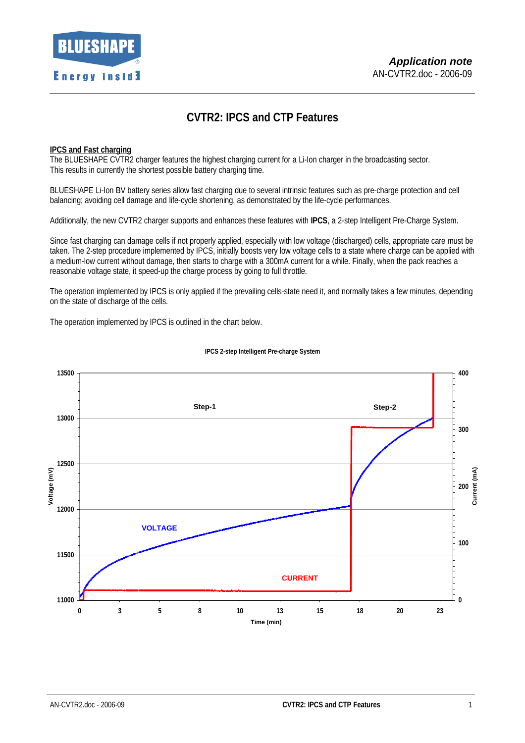

# **CVTR2: IPCS and CTP Features**

## **IPCS and Fast charging**

The BLUESHAPE CVTR2 charger features the highest charging current for a Li-Ion charger in the broadcasting sector. This results in currently the shortest possible battery charging time.

BLUESHAPE Li-Ion BV battery series allow fast charging due to several intrinsic features such as pre-charge protection and cell balancing; avoiding cell damage and life-cycle shortening, as demonstrated by the life-cycle performances.

Additionally, the new CVTR2 charger supports and enhances these features with **IPCS**, a 2-step Intelligent Pre-Charge System.

Since fast charging can damage cells if not properly applied, especially with low voltage (discharged) cells, appropriate care must be taken. The 2-step procedure implemented by IPCS, initially boosts very low voltage cells to a state where charge can be applied with a medium-low current without damage, then starts to charge with a 300mA current for a while. Finally, when the pack reaches a reasonable voltage state, it speed-up the charge process by going to full throttle.

The operation implemented by IPCS is only applied if the prevailing cells-state need it, and normally takes a few minutes, depending on the state of discharge of the cells.

The operation implemented by IPCS is outlined in the chart below.



#### **IPCS 2-step Intelligent Pre-charge System**